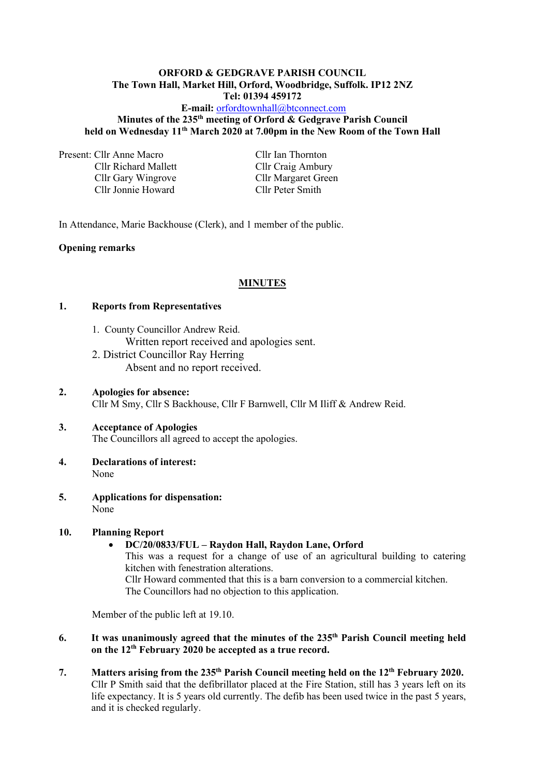#### **ORFORD & GEDGRAVE PARISH COUNCIL The Town Hall, Market Hill, Orford, Woodbridge, Suffolk. IP12 2NZ Tel: 01394 459172**

# **E-mail:** [orfordtownhall@btconnect.com](mailto:orfordtownhall@btconnect.com) **Minutes of the 235 th meeting of Orford & Gedgrave Parish Council held on Wednesday 11 th March 2020 at 7.00pm in the New Room of the Town Hall**

Present: Cllr Anne Macro Cllr Ian Thornton

Cllr Gary Wingrove Cllr Margaret Green Cllr Jonnie Howard Cllr Peter Smith

Cllr Richard Mallett Cllr Craig Ambury

In Attendance, Marie Backhouse (Clerk), and 1 member of the public.

### **Opening remarks**

### **MINUTES**

### **1. Reports from Representatives**

- 1. County Councillor Andrew Reid. Written report received and apologies sent.
- 2. District Councillor Ray Herring Absent and no report received.
- **2. Apologies for absence:** Cllr M Smy, Cllr S Backhouse, Cllr F Barnwell, Cllr M Iliff & Andrew Reid.

# **3. Acceptance of Apologies** The Councillors all agreed to accept the apologies.

- **4. Declarations of interest:** None
- **5. Applications for dispensation:** None

# **10. Planning Report**

# • **DC/20/0833/FUL – Raydon Hall, Raydon Lane, Orford**

This was a request for a change of use of an agricultural building to catering kitchen with fenestration alterations.

Cllr Howard commented that this is a barn conversion to a commercial kitchen. The Councillors had no objection to this application.

Member of the public left at 19.10.

- **6. It was unanimously agreed that the minutes of the 235 th Parish Council meeting held on the 12 th February 2020 be accepted as a true record.**
- **7. Matters arising from the 235 th Parish Council meeting held on the 12 th February 2020.** Cllr P Smith said that the defibrillator placed at the Fire Station, still has 3 years left on its life expectancy. It is 5 years old currently. The defib has been used twice in the past 5 years, and it is checked regularly.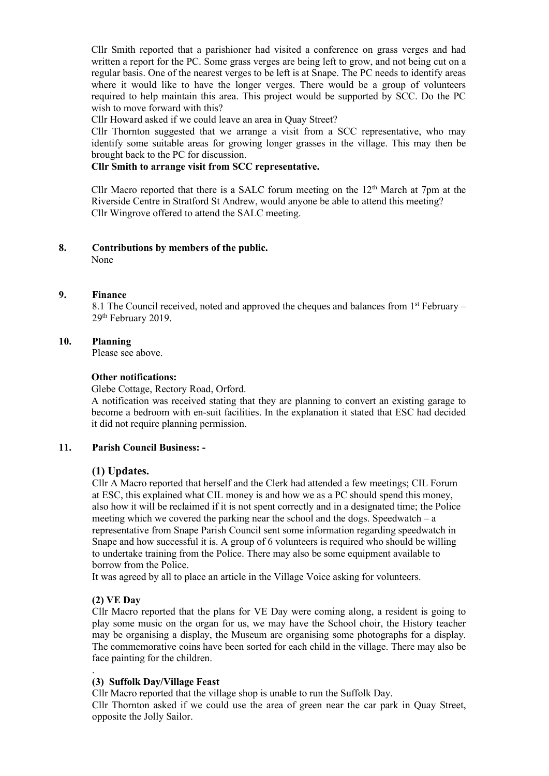Cllr Smith reported that a parishioner had visited a conference on grass verges and had written a report for the PC. Some grass verges are being left to grow, and not being cut on a regular basis. One of the nearest verges to be left is at Snape. The PC needs to identify areas where it would like to have the longer verges. There would be a group of volunteers required to help maintain this area. This project would be supported by SCC. Do the PC wish to move forward with this?

Cllr Howard asked if we could leave an area in Quay Street?

Cllr Thornton suggested that we arrange a visit from a SCC representative, who may identify some suitable areas for growing longer grasses in the village. This may then be brought back to the PC for discussion.

# **Cllr Smith to arrange visit from SCC representative.**

Cllr Macro reported that there is a SALC forum meeting on the  $12<sup>th</sup>$  March at 7pm at the Riverside Centre in Stratford St Andrew, would anyone be able to attend this meeting? Cllr Wingrove offered to attend the SALC meeting.

#### **8. Contributions by members of the public.**

None

#### **9. Finance**

8.1 The Council received, noted and approved the cheques and balances from 1<sup>st</sup> February – 29th February 2019.

#### **10. Planning**

Please see above.

#### **Other notifications:**

Glebe Cottage, Rectory Road, Orford.

A notification was received stating that they are planning to convert an existing garage to become a bedroom with en-suit facilities. In the explanation it stated that ESC had decided it did not require planning permission.

### **11. Parish Council Business: -**

## **(1) Updates.**

Cllr A Macro reported that herself and the Clerk had attended a few meetings; CIL Forum at ESC, this explained what CIL money is and how we as a PC should spend this money, also how it will be reclaimed if it is not spent correctly and in a designated time; the Police meeting which we covered the parking near the school and the dogs. Speedwatch – a representative from Snape Parish Council sent some information regarding speedwatch in Snape and how successful it is. A group of 6 volunteers is required who should be willing to undertake training from the Police. There may also be some equipment available to borrow from the Police.

It was agreed by all to place an article in the Village Voice asking for volunteers.

### **(2) VE Day**

.

Cllr Macro reported that the plans for VE Day were coming along, a resident is going to play some music on the organ for us, we may have the School choir, the History teacher may be organising a display, the Museum are organising some photographs for a display. The commemorative coins have been sorted for each child in the village. There may also be face painting for the children.

### **(3) Suffolk Day/Village Feast**

Cllr Macro reported that the village shop is unable to run the Suffolk Day. Cllr Thornton asked if we could use the area of green near the car park in Quay Street, opposite the Jolly Sailor.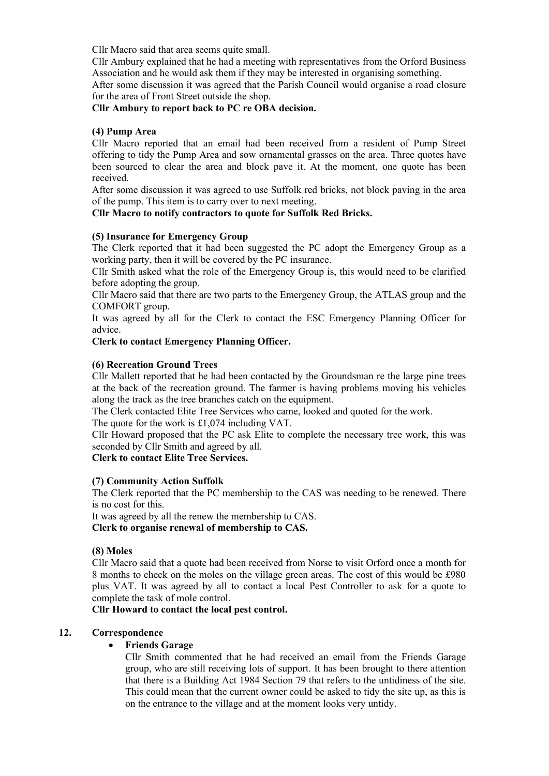Cllr Macro said that area seems quite small.

Cllr Ambury explained that he had a meeting with representatives from the Orford Business Association and he would ask them if they may be interested in organising something.

After some discussion it was agreed that the Parish Council would organise a road closure for the area of Front Street outside the shop.

### **Cllr Ambury to report back to PC re OBA decision.**

### **(4) Pump Area**

Cllr Macro reported that an email had been received from a resident of Pump Street offering to tidy the Pump Area and sow ornamental grasses on the area. Three quotes have been sourced to clear the area and block pave it. At the moment, one quote has been received.

After some discussion it was agreed to use Suffolk red bricks, not block paving in the area of the pump. This item is to carry over to next meeting.

# **Cllr Macro to notify contractors to quote for Suffolk Red Bricks.**

### **(5) Insurance for Emergency Group**

The Clerk reported that it had been suggested the PC adopt the Emergency Group as a working party, then it will be covered by the PC insurance.

Cllr Smith asked what the role of the Emergency Group is, this would need to be clarified before adopting the group.

Cllr Macro said that there are two parts to the Emergency Group, the ATLAS group and the COMFORT group.

It was agreed by all for the Clerk to contact the ESC Emergency Planning Officer for advice.

### **Clerk to contact Emergency Planning Officer.**

### **(6) Recreation Ground Trees**

Cllr Mallett reported that he had been contacted by the Groundsman re the large pine trees at the back of the recreation ground. The farmer is having problems moving his vehicles along the track as the tree branches catch on the equipment.

The Clerk contacted Elite Tree Services who came, looked and quoted for the work.

The quote for the work is £1,074 including VAT.

Cllr Howard proposed that the PC ask Elite to complete the necessary tree work, this was seconded by Cllr Smith and agreed by all.

## **Clerk to contact Elite Tree Services.**

### **(7) Community Action Suffolk**

The Clerk reported that the PC membership to the CAS was needing to be renewed. There is no cost for this.

It was agreed by all the renew the membership to CAS.

**Clerk to organise renewal of membership to CAS.**

### **(8) Moles**

Cllr Macro said that a quote had been received from Norse to visit Orford once a month for 8 months to check on the moles on the village green areas. The cost of this would be £980 plus VAT. It was agreed by all to contact a local Pest Controller to ask for a quote to complete the task of mole control.

**Cllr Howard to contact the local pest control.**

# **12. Correspondence**

# • **Friends Garage**

Cllr Smith commented that he had received an email from the Friends Garage group, who are still receiving lots of support. It has been brought to there attention that there is a Building Act 1984 Section 79 that refers to the untidiness of the site. This could mean that the current owner could be asked to tidy the site up, as this is on the entrance to the village and at the moment looks very untidy.